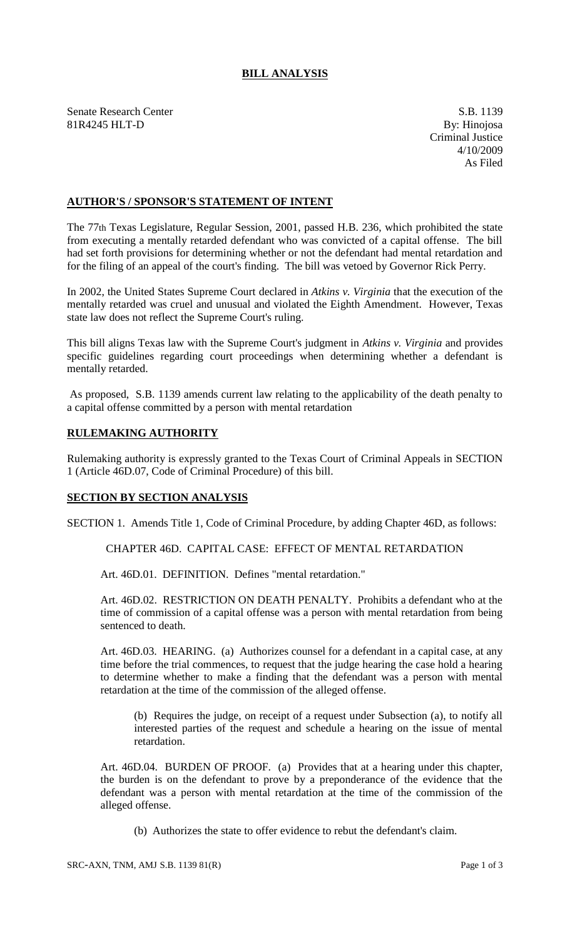## **BILL ANALYSIS**

Senate Research Center S.B. 1139<br>
81R4245 HLT-D By: Hinojosa 81R4245 HLT-D

Criminal Justice 4/10/2009 As Filed

## **AUTHOR'S / SPONSOR'S STATEMENT OF INTENT**

The 77th Texas Legislature, Regular Session, 2001, passed H.B. 236, which prohibited the state from executing a mentally retarded defendant who was convicted of a capital offense. The bill had set forth provisions for determining whether or not the defendant had mental retardation and for the filing of an appeal of the court's finding. The bill was vetoed by Governor Rick Perry.

In 2002, the United States Supreme Court declared in *Atkins v. Virginia* that the execution of the mentally retarded was cruel and unusual and violated the Eighth Amendment. However, Texas state law does not reflect the Supreme Court's ruling.

This bill aligns Texas law with the Supreme Court's judgment in *Atkins v. Virginia* and provides specific guidelines regarding court proceedings when determining whether a defendant is mentally retarded.

As proposed, S.B. 1139 amends current law relating to the applicability of the death penalty to a capital offense committed by a person with mental retardation

## **RULEMAKING AUTHORITY**

Rulemaking authority is expressly granted to the Texas Court of Criminal Appeals in SECTION 1 (Article 46D.07, Code of Criminal Procedure) of this bill.

## **SECTION BY SECTION ANALYSIS**

SECTION 1. Amends Title 1, Code of Criminal Procedure, by adding Chapter 46D, as follows:

CHAPTER 46D. CAPITAL CASE: EFFECT OF MENTAL RETARDATION

Art. 46D.01. DEFINITION. Defines "mental retardation."

Art. 46D.02. RESTRICTION ON DEATH PENALTY. Prohibits a defendant who at the time of commission of a capital offense was a person with mental retardation from being sentenced to death.

Art. 46D.03. HEARING. (a) Authorizes counsel for a defendant in a capital case, at any time before the trial commences, to request that the judge hearing the case hold a hearing to determine whether to make a finding that the defendant was a person with mental retardation at the time of the commission of the alleged offense.

(b) Requires the judge, on receipt of a request under Subsection (a), to notify all interested parties of the request and schedule a hearing on the issue of mental retardation.

Art. 46D.04. BURDEN OF PROOF. (a) Provides that at a hearing under this chapter, the burden is on the defendant to prove by a preponderance of the evidence that the defendant was a person with mental retardation at the time of the commission of the alleged offense.

(b) Authorizes the state to offer evidence to rebut the defendant's claim.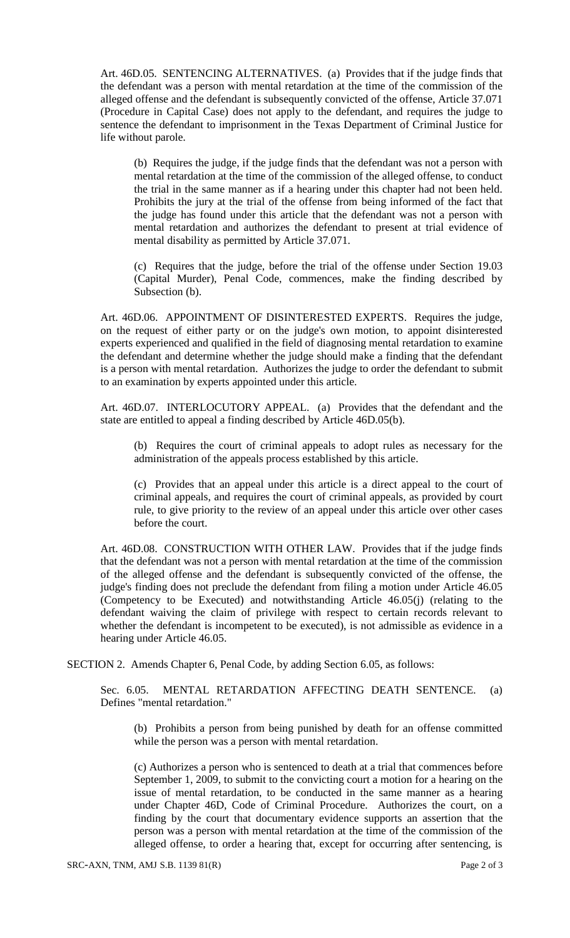Art. 46D.05. SENTENCING ALTERNATIVES. (a) Provides that if the judge finds that the defendant was a person with mental retardation at the time of the commission of the alleged offense and the defendant is subsequently convicted of the offense, Article 37.071 (Procedure in Capital Case) does not apply to the defendant, and requires the judge to sentence the defendant to imprisonment in the Texas Department of Criminal Justice for life without parole.

(b) Requires the judge, if the judge finds that the defendant was not a person with mental retardation at the time of the commission of the alleged offense, to conduct the trial in the same manner as if a hearing under this chapter had not been held. Prohibits the jury at the trial of the offense from being informed of the fact that the judge has found under this article that the defendant was not a person with mental retardation and authorizes the defendant to present at trial evidence of mental disability as permitted by Article 37.071.

(c) Requires that the judge, before the trial of the offense under Section 19.03 (Capital Murder), Penal Code, commences, make the finding described by Subsection (b).

Art. 46D.06. APPOINTMENT OF DISINTERESTED EXPERTS. Requires the judge, on the request of either party or on the judge's own motion, to appoint disinterested experts experienced and qualified in the field of diagnosing mental retardation to examine the defendant and determine whether the judge should make a finding that the defendant is a person with mental retardation. Authorizes the judge to order the defendant to submit to an examination by experts appointed under this article.

Art. 46D.07. INTERLOCUTORY APPEAL. (a) Provides that the defendant and the state are entitled to appeal a finding described by Article 46D.05(b).

(b) Requires the court of criminal appeals to adopt rules as necessary for the administration of the appeals process established by this article.

(c) Provides that an appeal under this article is a direct appeal to the court of criminal appeals, and requires the court of criminal appeals, as provided by court rule, to give priority to the review of an appeal under this article over other cases before the court.

Art. 46D.08. CONSTRUCTION WITH OTHER LAW. Provides that if the judge finds that the defendant was not a person with mental retardation at the time of the commission of the alleged offense and the defendant is subsequently convicted of the offense, the judge's finding does not preclude the defendant from filing a motion under Article 46.05 (Competency to be Executed) and notwithstanding Article 46.05(j) (relating to the defendant waiving the claim of privilege with respect to certain records relevant to whether the defendant is incompetent to be executed), is not admissible as evidence in a hearing under Article 46.05.

SECTION 2. Amends Chapter 6, Penal Code, by adding Section 6.05, as follows:

Sec. 6.05. MENTAL RETARDATION AFFECTING DEATH SENTENCE. (a) Defines "mental retardation."

(b) Prohibits a person from being punished by death for an offense committed while the person was a person with mental retardation.

(c) Authorizes a person who is sentenced to death at a trial that commences before September 1, 2009, to submit to the convicting court a motion for a hearing on the issue of mental retardation, to be conducted in the same manner as a hearing under Chapter 46D, Code of Criminal Procedure. Authorizes the court, on a finding by the court that documentary evidence supports an assertion that the person was a person with mental retardation at the time of the commission of the alleged offense, to order a hearing that, except for occurring after sentencing, is